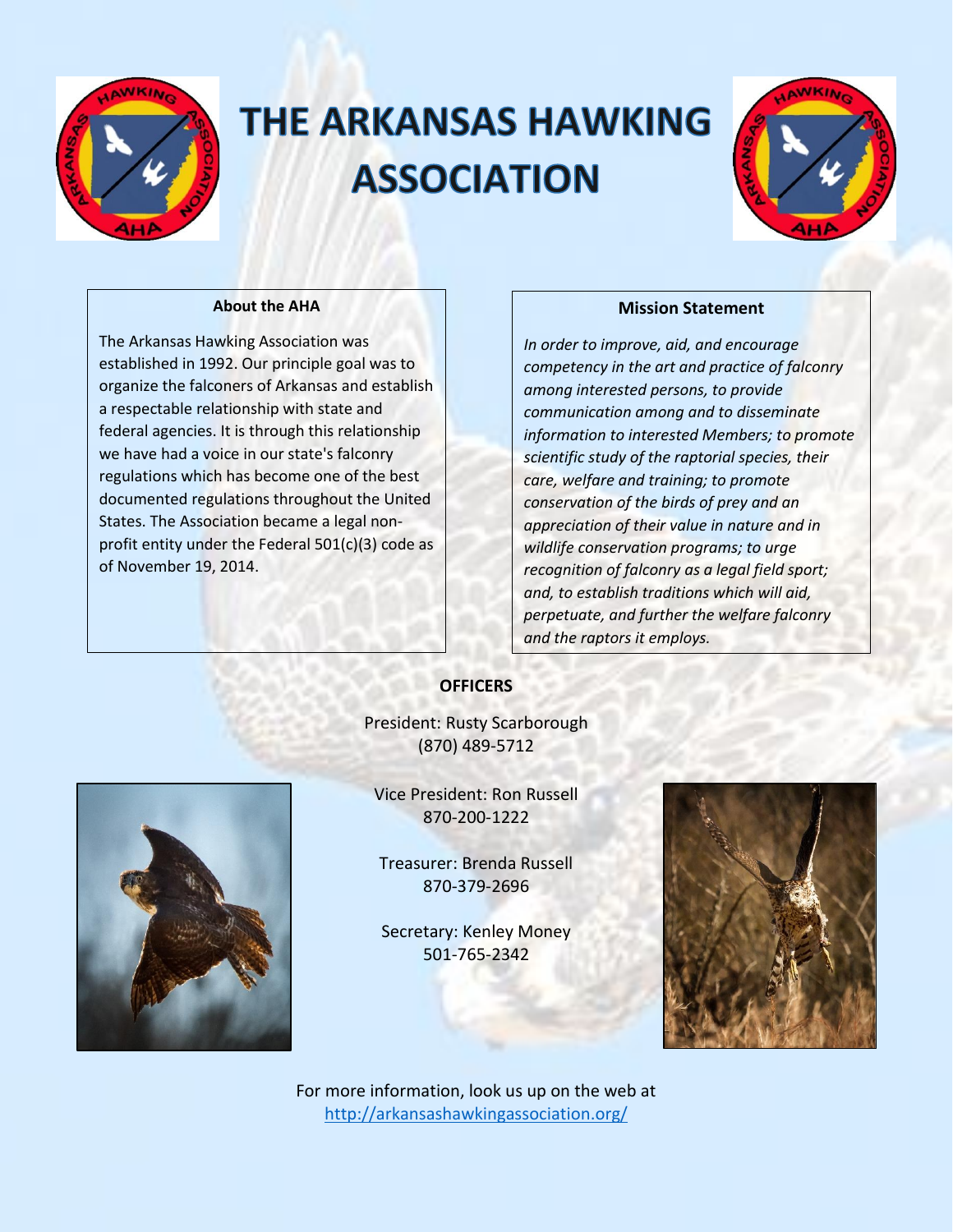

# **THE ARKANSAS HAWKING ASSOCIATION**



# **About the AHA**

The Arkansas Hawking Association was established in 1992. Our principle goal was to organize the falconers of Arkansas and establish a respectable relationship with state and federal agencies. It is through this relationship we have had a voice in our state's falconry regulations which has become one of the best documented regulations throughout the United States. The Association became a legal nonprofit entity under the Federal 501(c)(3) code as of November 19, 2014.

# **Mission Statement**

*In order to improve, aid, and encourage competency in the art and practice of falconry among interested persons, to provide communication among and to disseminate information to interested Members; to promote scientific study of the raptorial species, their care, welfare and training; to promote conservation of the birds of prey and an appreciation of their value in nature and in wildlife conservation programs; to urge recognition of falconry as a legal field sport; and, to establish traditions which will aid, perpetuate, and further the welfare falconry and the raptors it employs.*

# **OFFICERS**

President: Rusty Scarborough (870) 489-5712



Vice President: Ron Russell 870-200-1222

Treasurer: Brenda Russell 870-379-2696

Secretary: Kenley Money 501-765-2342



For more information, look us up on the web at <http://arkansashawkingassociation.org/>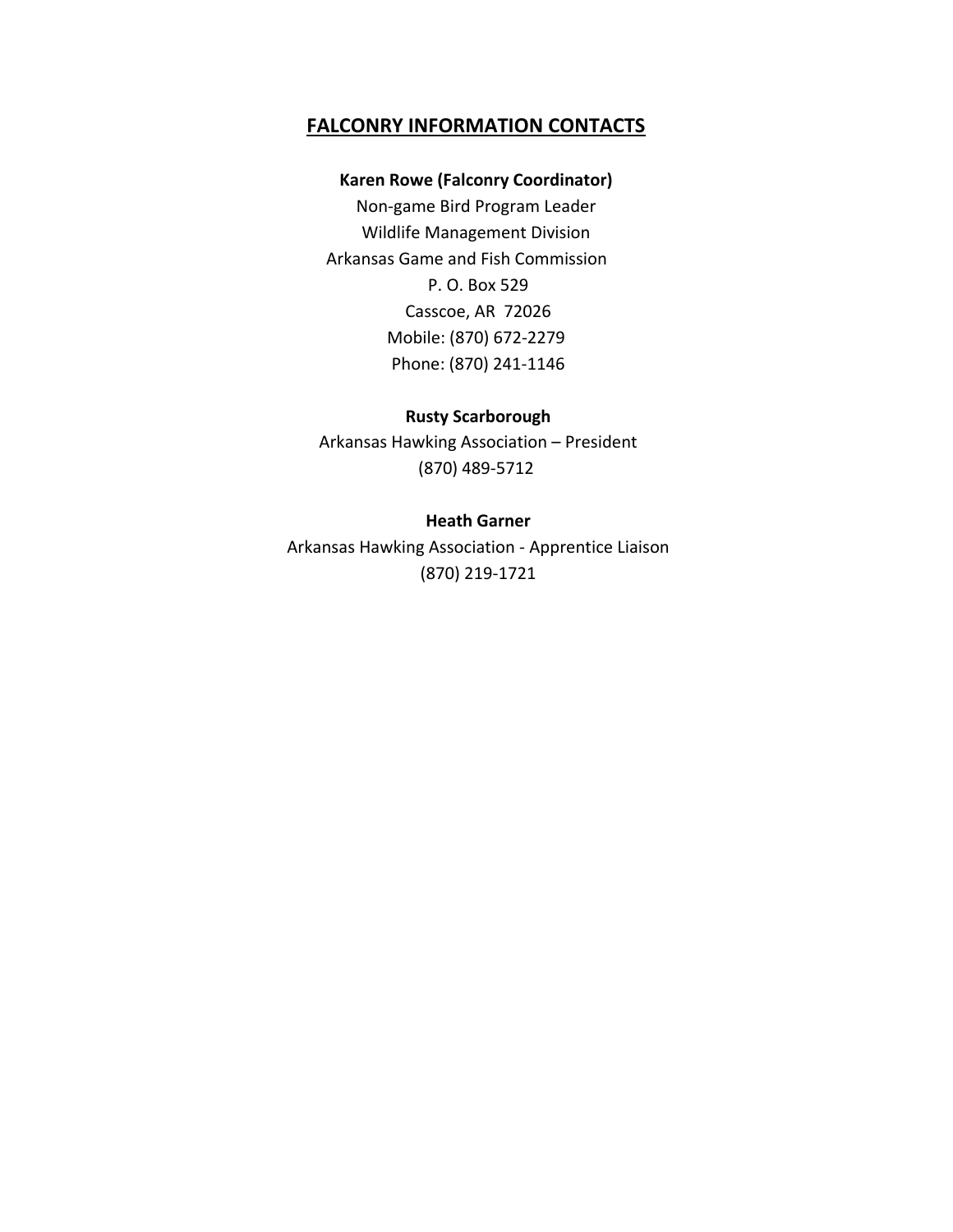# **FALCONRY INFORMATION CONTACTS**

# **Karen Rowe (Falconry Coordinator)**

Non‐game Bird Program Leader Wildlife Management Division Arkansas Game and Fish Commission P. O. Box 529 Casscoe, AR 72026 Mobile: (870) 672‐2279 Phone: (870) 241-1146

### **Rusty Scarborough**

Arkansas Hawking Association – President (870) 489‐5712

### **Heath Garner**

Arkansas Hawking Association - Apprentice Liaison (870) 219-1721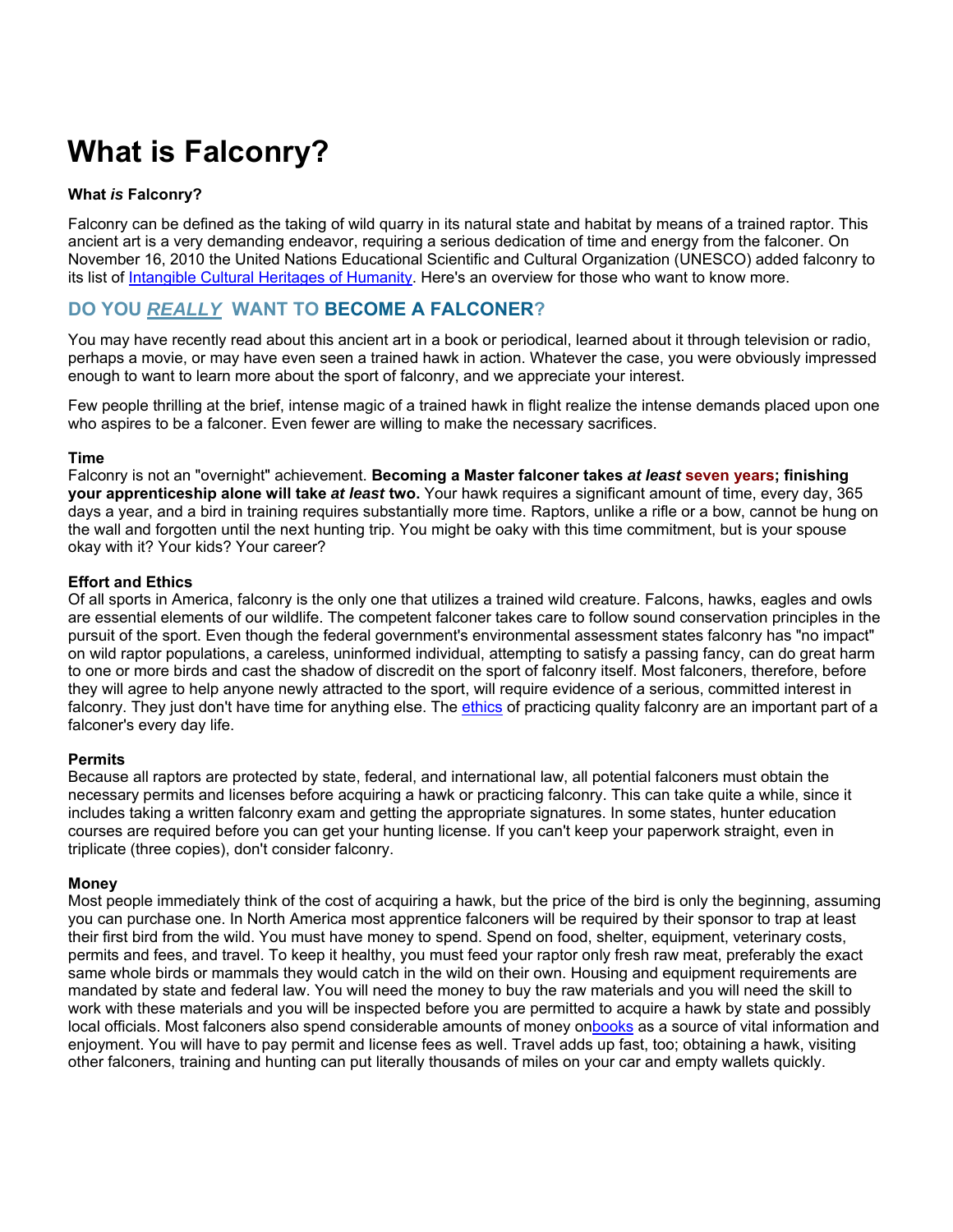# **What is Falconry?**

# **What** *is* **Falconry?**

Falconry can be defined as the taking of wild quarry in its natural state and habitat by means of a trained raptor. This ancient art is a very demanding endeavor, requiring a serious dedication of time and energy from the falconer. On November 16, 2010 the United Nations Educational Scientific and Cultural Organization (UNESCO) added falconry to its list of Intangible Cultural Heritages of Humanity. Here's an overview for those who want to know more.

# **DO YOU** *REALLY* **WANT TO BECOME A FALCONER?**

You may have recently read about this ancient art in a book or periodical, learned about it through television or radio, perhaps a movie, or may have even seen a trained hawk in action. Whatever the case, you were obviously impressed enough to want to learn more about the sport of falconry, and we appreciate your interest.

Few people thrilling at the brief, intense magic of a trained hawk in flight realize the intense demands placed upon one who aspires to be a falconer. Even fewer are willing to make the necessary sacrifices.

#### **Time**

Falconry is not an "overnight" achievement. **Becoming a Master falconer takes** *at least* **seven years; finishing your apprenticeship alone will take** *at least* **two.** Your hawk requires a significant amount of time, every day, 365 days a year, and a bird in training requires substantially more time. Raptors, unlike a rifle or a bow, cannot be hung on the wall and forgotten until the next hunting trip. You might be oaky with this time commitment, but is your spouse okay with it? Your kids? Your career?

#### **Effort and Ethics**

Of all sports in America, falconry is the only one that utilizes a trained wild creature. Falcons, hawks, eagles and owls are essential elements of our wildlife. The competent falconer takes care to follow sound conservation principles in the pursuit of the sport. Even though the federal government's environmental assessment states falconry has "no impact" on wild raptor populations, a careless, uninformed individual, attempting to satisfy a passing fancy, can do great harm to one or more birds and cast the shadow of discredit on the sport of falconry itself. Most falconers, therefore, before they will agree to help anyone newly attracted to the sport, will require evidence of a serious, committed interest in falconry. They just don't have time for anything else. The ethics of practicing quality falconry are an important part of a falconer's every day life.

#### **Permits**

Because all raptors are protected by state, federal, and international law, all potential falconers must obtain the necessary permits and licenses before acquiring a hawk or practicing falconry. This can take quite a while, since it includes taking a written falconry exam and getting the appropriate signatures. In some states, hunter education courses are required before you can get your hunting license. If you can't keep your paperwork straight, even in triplicate (three copies), don't consider falconry.

#### **Money**

Most people immediately think of the cost of acquiring a hawk, but the price of the bird is only the beginning, assuming you can purchase one. In North America most apprentice falconers will be required by their sponsor to trap at least their first bird from the wild. You must have money to spend. Spend on food, shelter, equipment, veterinary costs, permits and fees, and travel. To keep it healthy, you must feed your raptor only fresh raw meat, preferably the exact same whole birds or mammals they would catch in the wild on their own. Housing and equipment requirements are mandated by state and federal law. You will need the money to buy the raw materials and you will need the skill to work with these materials and you will be inspected before you are permitted to acquire a hawk by state and possibly local officials. Most falconers also spend considerable amounts of money onbooks as a source of vital information and enjoyment. You will have to pay permit and license fees as well. Travel adds up fast, too; obtaining a hawk, visiting other falconers, training and hunting can put literally thousands of miles on your car and empty wallets quickly.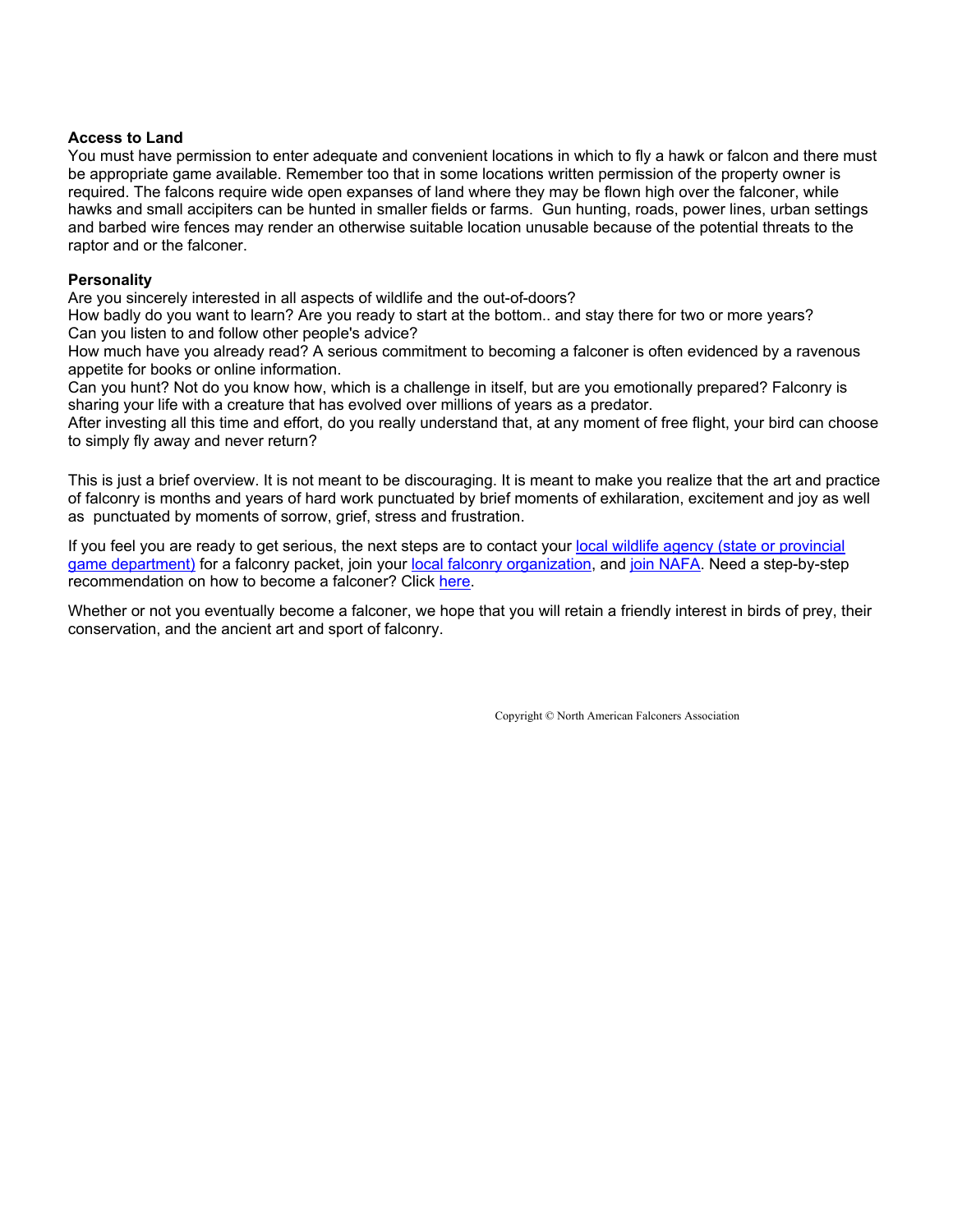#### **Access to Land**

You must have permission to enter adequate and convenient locations in which to fly a hawk or falcon and there must be appropriate game available. Remember too that in some locations written permission of the property owner is required. The falcons require wide open expanses of land where they may be flown high over the falconer, while hawks and small accipiters can be hunted in smaller fields or farms. Gun hunting, roads, power lines, urban settings and barbed wire fences may render an otherwise suitable location unusable because of the potential threats to the raptor and or the falconer.

#### **Personality**

Are you sincerely interested in all aspects of wildlife and the out-of-doors?

How badly do you want to learn? Are you ready to start at the bottom.. and stay there for two or more years? Can you listen to and follow other people's advice?

How much have you already read? A serious commitment to becoming a falconer is often evidenced by a ravenous appetite for books or online information.

Can you hunt? Not do you know how, which is a challenge in itself, but are you emotionally prepared? Falconry is sharing your life with a creature that has evolved over millions of years as a predator.

After investing all this time and effort, do you really understand that, at any moment of free flight, your bird can choose to simply fly away and never return?

This is just a brief overview. It is not meant to be discouraging. It is meant to make you realize that the art and practice of falconry is months and years of hard work punctuated by brief moments of exhilaration, excitement and joy as well as punctuated by moments of sorrow, grief, stress and frustration.

If you feel you are ready to get serious, the next steps are to contact your local wildlife agency (state or provincial game department) for a falconry packet, join your local falconry organization, and join NAFA. Need a step-by-step recommendation on how to become a falconer? Click here.

Whether or not you eventually become a falconer, we hope that you will retain a friendly interest in birds of prey, their conservation, and the ancient art and sport of falconry.

Copyright © North American Falconers Association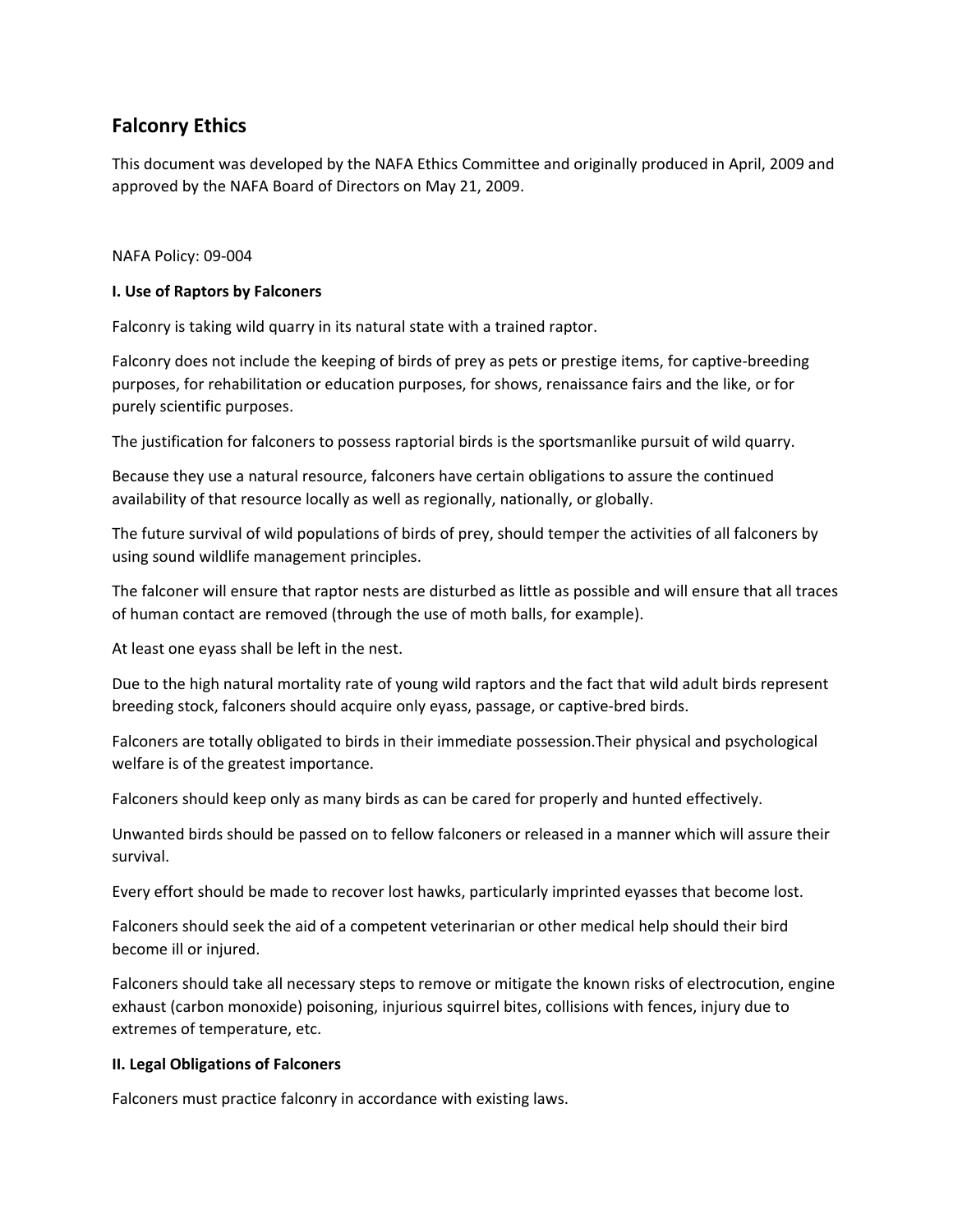# **Falconry Ethics**

This document was developed by the NAFA Ethics Committee and originally produced in April, 2009 and approved by the NAFA Board of Directors on May 21, 2009.

# NAFA Policy: 09‐004

# **I. Use of Raptors by Falconers**

Falconry is taking wild quarry in its natural state with a trained raptor.

Falconry does not include the keeping of birds of prey as pets or prestige items, for captive‐breeding purposes, for rehabilitation or education purposes, for shows, renaissance fairs and the like, or for purely scientific purposes.

The justification for falconers to possess raptorial birds is the sportsmanlike pursuit of wild quarry.

Because they use a natural resource, falconers have certain obligations to assure the continued availability of that resource locally as well as regionally, nationally, or globally.

The future survival of wild populations of birds of prey, should temper the activities of all falconers by using sound wildlife management principles.

The falconer will ensure that raptor nests are disturbed as little as possible and will ensure that all traces of human contact are removed (through the use of moth balls, for example).

At least one eyass shall be left in the nest.

Due to the high natural mortality rate of young wild raptors and the fact that wild adult birds represent breeding stock, falconers should acquire only eyass, passage, or captive‐bred birds.

Falconers are totally obligated to birds in their immediate possession.Their physical and psychological welfare is of the greatest importance.

Falconers should keep only as many birds as can be cared for properly and hunted effectively.

Unwanted birds should be passed on to fellow falconers or released in a manner which will assure their survival.

Every effort should be made to recover lost hawks, particularly imprinted eyasses that become lost.

Falconers should seek the aid of a competent veterinarian or other medical help should their bird become ill or injured.

Falconers should take all necessary steps to remove or mitigate the known risks of electrocution, engine exhaust (carbon monoxide) poisoning, injurious squirrel bites, collisions with fences, injury due to extremes of temperature, etc.

# **II. Legal Obligations of Falconers**

Falconers must practice falconry in accordance with existing laws.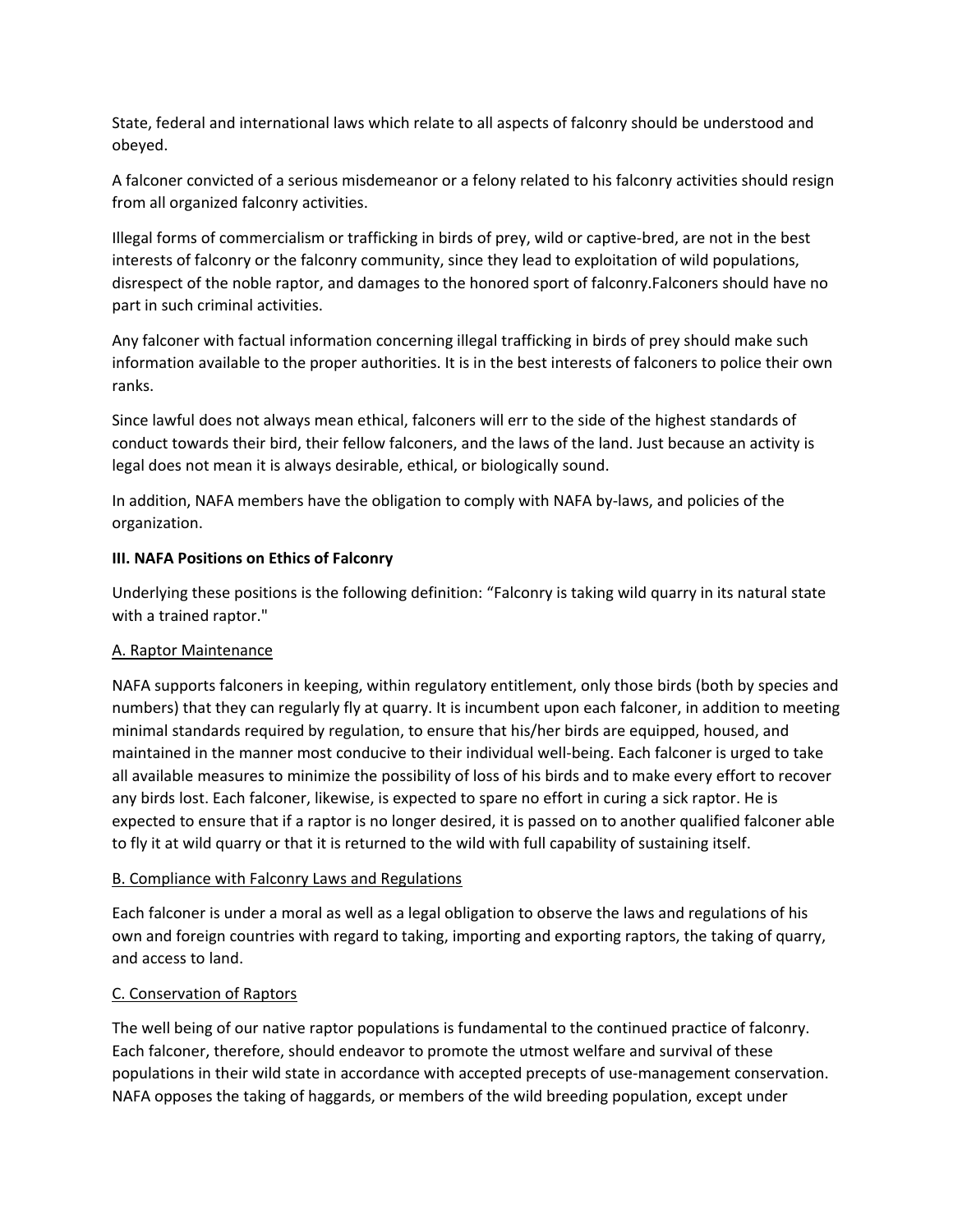State, federal and international laws which relate to all aspects of falconry should be understood and obeyed.

A falconer convicted of a serious misdemeanor or a felony related to his falconry activities should resign from all organized falconry activities.

Illegal forms of commercialism or trafficking in birds of prey, wild or captive‐bred, are not in the best interests of falconry or the falconry community, since they lead to exploitation of wild populations, disrespect of the noble raptor, and damages to the honored sport of falconry.Falconers should have no part in such criminal activities.

Any falconer with factual information concerning illegal trafficking in birds of prey should make such information available to the proper authorities. It is in the best interests of falconers to police their own ranks.

Since lawful does not always mean ethical, falconers will err to the side of the highest standards of conduct towards their bird, their fellow falconers, and the laws of the land. Just because an activity is legal does not mean it is always desirable, ethical, or biologically sound.

In addition, NAFA members have the obligation to comply with NAFA by-laws, and policies of the organization.

# **III. NAFA Positions on Ethics of Falconry**

Underlying these positions is the following definition: "Falconry is taking wild quarry in its natural state with a trained raptor."

# A. Raptor Maintenance

NAFA supports falconers in keeping, within regulatory entitlement, only those birds (both by species and numbers) that they can regularly fly at quarry. It is incumbent upon each falconer, in addition to meeting minimal standards required by regulation, to ensure that his/her birds are equipped, housed, and maintained in the manner most conducive to their individual well‐being. Each falconer is urged to take all available measures to minimize the possibility of loss of his birds and to make every effort to recover any birds lost. Each falconer, likewise, is expected to spare no effort in curing a sick raptor. He is expected to ensure that if a raptor is no longer desired, it is passed on to another qualified falconer able to fly it at wild quarry or that it is returned to the wild with full capability of sustaining itself.

# B. Compliance with Falconry Laws and Regulations

Each falconer is under a moral as well as a legal obligation to observe the laws and regulations of his own and foreign countries with regard to taking, importing and exporting raptors, the taking of quarry, and access to land.

# C. Conservation of Raptors

The well being of our native raptor populations is fundamental to the continued practice of falconry. Each falconer, therefore, should endeavor to promote the utmost welfare and survival of these populations in their wild state in accordance with accepted precepts of use-management conservation. NAFA opposes the taking of haggards, or members of the wild breeding population, except under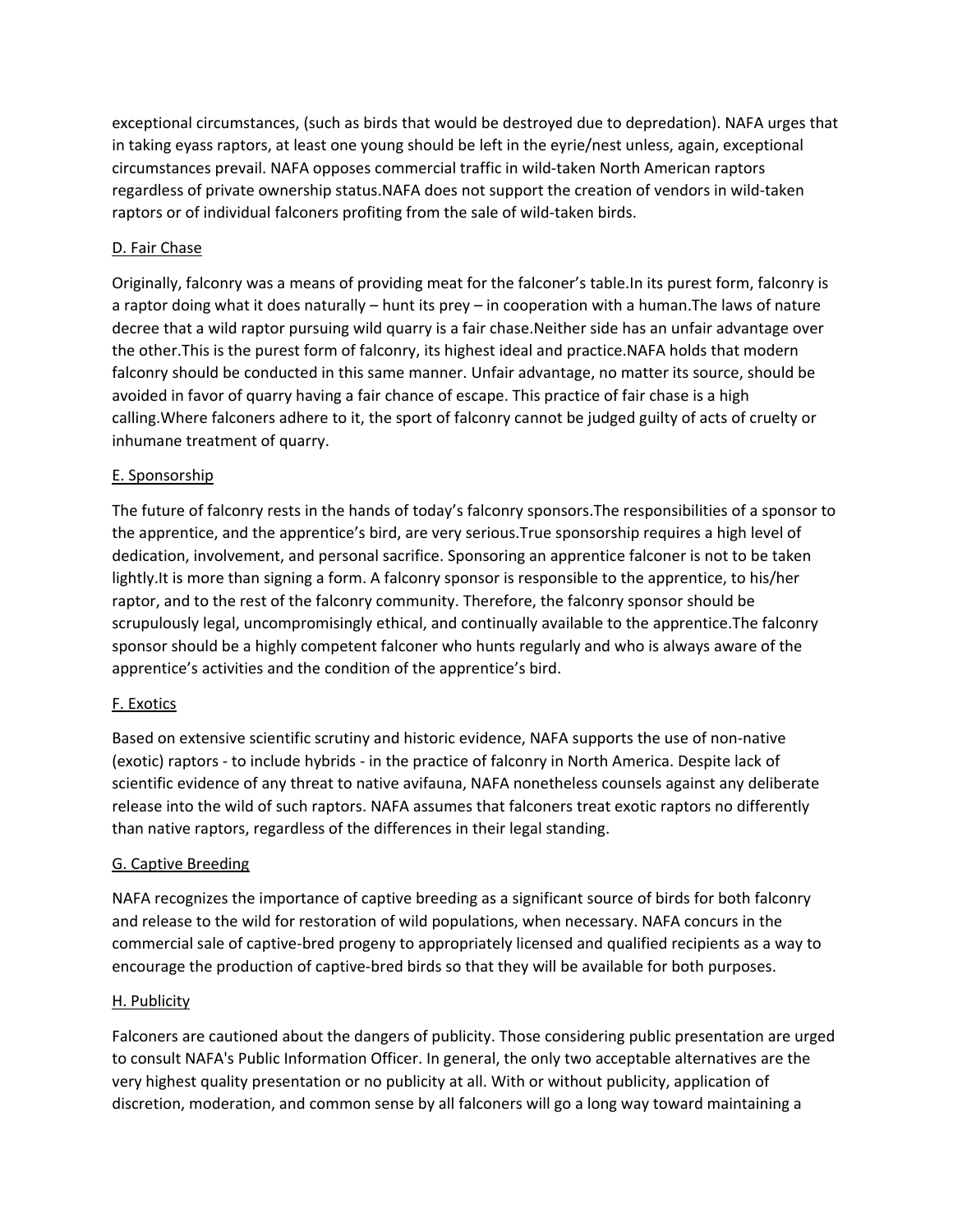exceptional circumstances, (such as birds that would be destroyed due to depredation). NAFA urges that in taking eyass raptors, at least one young should be left in the eyrie/nest unless, again, exceptional circumstances prevail. NAFA opposes commercial traffic in wild‐taken North American raptors regardless of private ownership status.NAFA does not support the creation of vendors in wild‐taken raptors or of individual falconers profiting from the sale of wild-taken birds.

# D. Fair Chase

Originally, falconry was a means of providing meat for the falconer's table.In its purest form, falconry is a raptor doing what it does naturally – hunt its prey – in cooperation with a human.The laws of nature decree that a wild raptor pursuing wild quarry is a fair chase.Neither side has an unfair advantage over the other.This is the purest form of falconry, its highest ideal and practice.NAFA holds that modern falconry should be conducted in this same manner. Unfair advantage, no matter its source, should be avoided in favor of quarry having a fair chance of escape. This practice of fair chase is a high calling.Where falconers adhere to it, the sport of falconry cannot be judged guilty of acts of cruelty or inhumane treatment of quarry.

# E. Sponsorship

The future of falconry rests in the hands of today's falconry sponsors.The responsibilities of a sponsor to the apprentice, and the apprentice's bird, are very serious.True sponsorship requires a high level of dedication, involvement, and personal sacrifice. Sponsoring an apprentice falconer is not to be taken lightly.It is more than signing a form. A falconry sponsor is responsible to the apprentice, to his/her raptor, and to the rest of the falconry community. Therefore, the falconry sponsor should be scrupulously legal, uncompromisingly ethical, and continually available to the apprentice.The falconry sponsor should be a highly competent falconer who hunts regularly and who is always aware of the apprentice's activities and the condition of the apprentice's bird.

# F. Exotics

Based on extensive scientific scrutiny and historic evidence, NAFA supports the use of non‐native (exotic) raptors ‐ to include hybrids ‐ in the practice of falconry in North America. Despite lack of scientific evidence of any threat to native avifauna, NAFA nonetheless counsels against any deliberate release into the wild of such raptors. NAFA assumes that falconers treat exotic raptors no differently than native raptors, regardless of the differences in their legal standing.

# G. Captive Breeding

NAFA recognizes the importance of captive breeding as a significant source of birds for both falconry and release to the wild for restoration of wild populations, when necessary. NAFA concurs in the commercial sale of captive‐bred progeny to appropriately licensed and qualified recipients as a way to encourage the production of captive‐bred birds so that they will be available for both purposes.

# H. Publicity

Falconers are cautioned about the dangers of publicity. Those considering public presentation are urged to consult NAFA's Public Information Officer. In general, the only two acceptable alternatives are the very highest quality presentation or no publicity at all. With or without publicity, application of discretion, moderation, and common sense by all falconers will go a long way toward maintaining a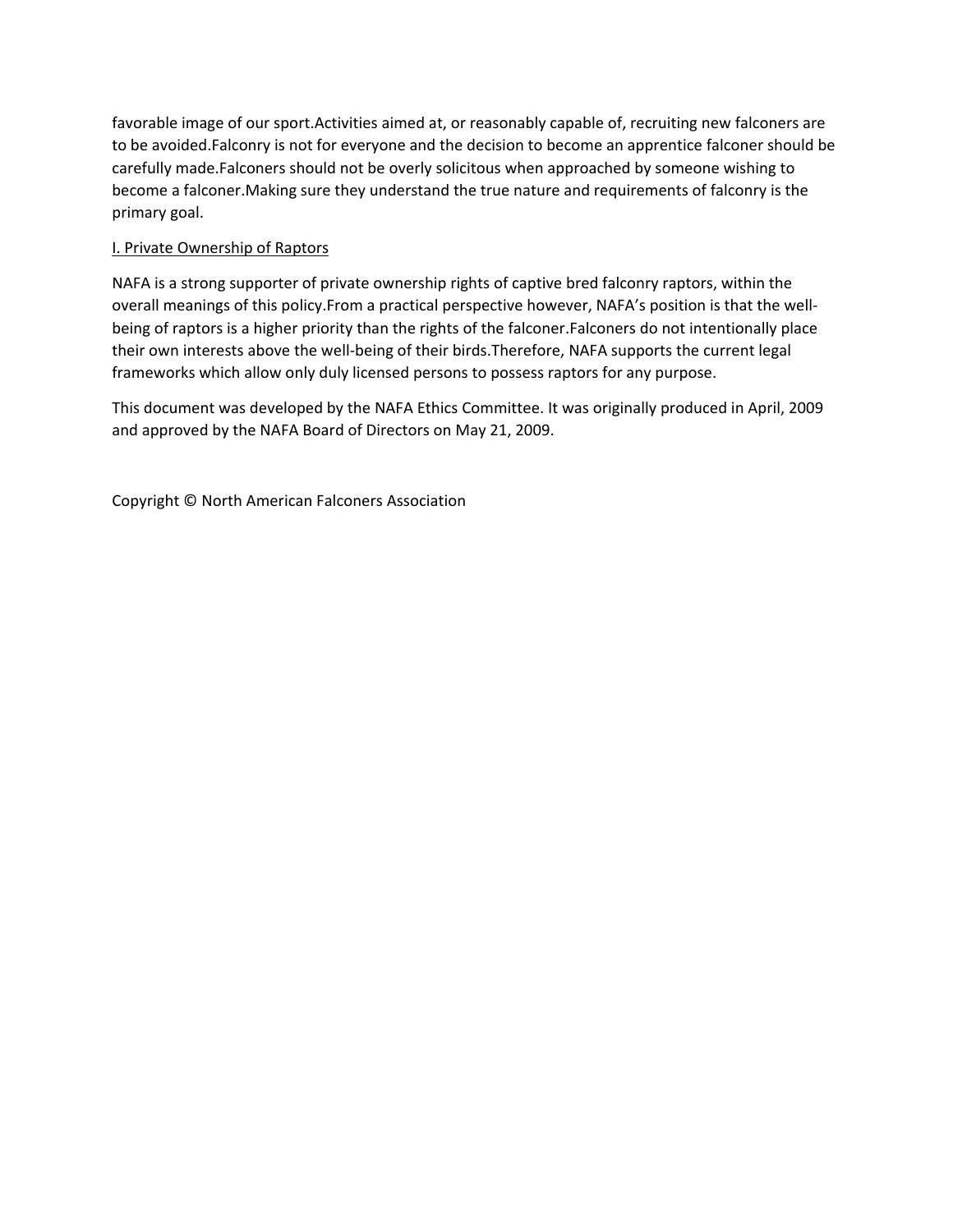favorable image of our sport.Activities aimed at, or reasonably capable of, recruiting new falconers are to be avoided.Falconry is not for everyone and the decision to become an apprentice falconer should be carefully made.Falconers should not be overly solicitous when approached by someone wishing to become a falconer.Making sure they understand the true nature and requirements of falconry is the primary goal.

# I. Private Ownership of Raptors

NAFA is a strong supporter of private ownership rights of captive bred falconry raptors, within the overall meanings of this policy.From a practical perspective however, NAFA's position is that the well‐ being of raptors is a higher priority than the rights of the falconer.Falconers do not intentionally place their own interests above the well-being of their birds. Therefore, NAFA supports the current legal frameworks which allow only duly licensed persons to possess raptors for any purpose.

This document was developed by the NAFA Ethics Committee. It was originally produced in April, 2009 and approved by the NAFA Board of Directors on May 21, 2009.

Copyright © North American Falconers Association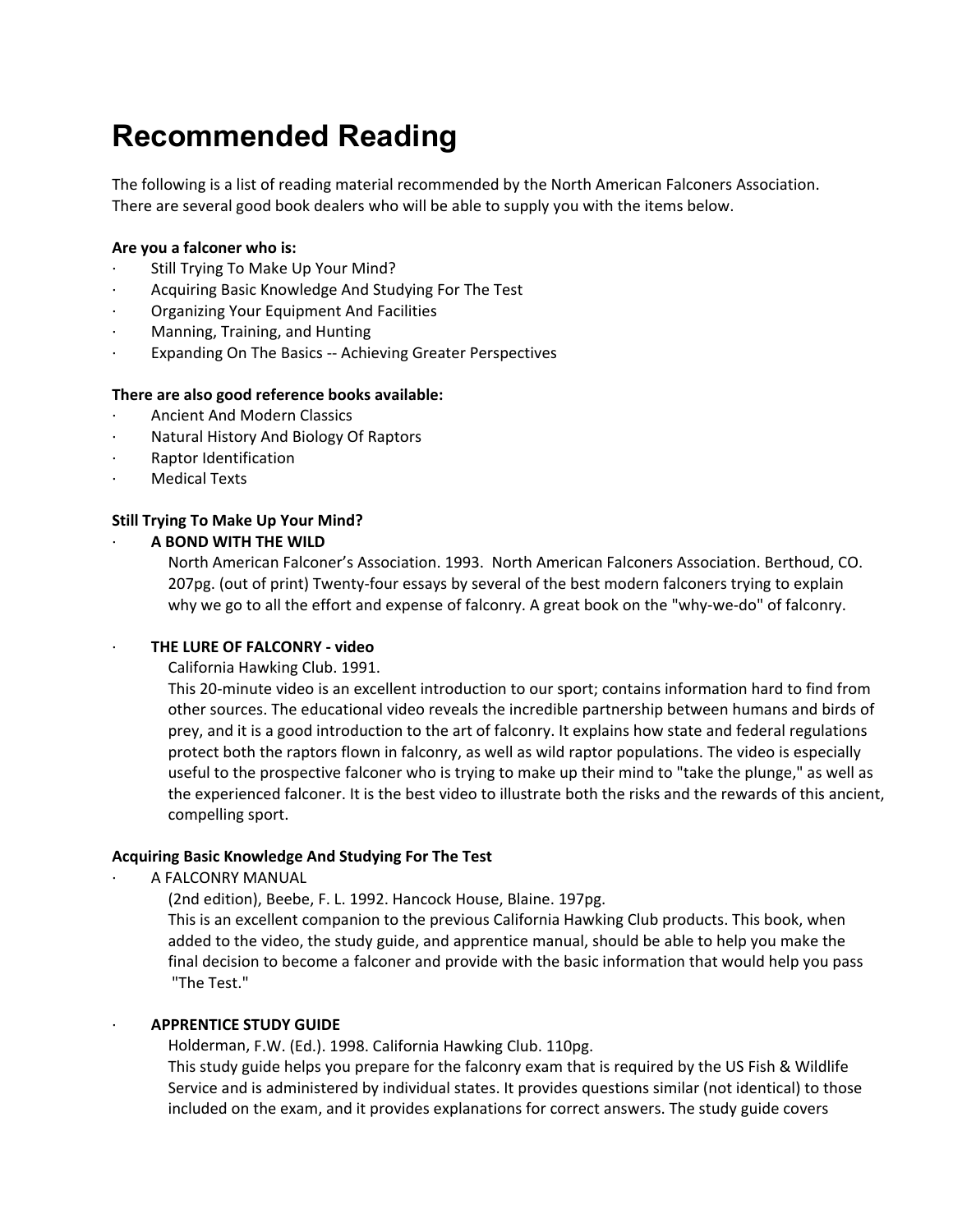# **Recommended Reading**

The following is a list of reading material recommended by the North American Falconers Association. There are several good book dealers who will be able to supply you with the items below.

#### **Are you a falconer who is:**

- ∙ Still Trying To Make Up Your Mind?
- ∙ Acquiring Basic Knowledge And Studying For The Test
- ∙ Organizing Your Equipment And Facilities
- ∙ Manning, Training, and Hunting
- ∙ Expanding On The Basics ‐‐ Achieving Greater Perspectives

#### **There are also good reference books available:**

- ∙ Ancient And Modern Classics
- ∙ Natural History And Biology Of Raptors
- ∙ Raptor Identification
- ∙ Medical Texts

# **Still Trying To Make Up Your Mind?**

∙ **A BOND WITH THE WILD**

North American Falconer's Association. 1993. North American Falconers Association. Berthoud, CO. 207pg. (out of print) Twenty‐four essays by several of the best modern falconers trying to explain why we go to all the effort and expense of falconry. A great book on the "why-we-do" of falconry.

#### ∙ **THE LURE OF FALCONRY ‐ video**

California Hawking Club. 1991.

This 20‐minute video is an excellent introduction to our sport; contains information hard to find from other sources. The educational video reveals the incredible partnership between humans and birds of prey, and it is a good introduction to the art of falconry. It explains how state and federal regulations protect both the raptors flown in falconry, as well as wild raptor populations. The video is especially useful to the prospective falconer who is trying to make up their mind to "take the plunge," as well as the experienced falconer. It is the best video to illustrate both the risks and the rewards of this ancient, compelling sport.

#### **Acquiring Basic Knowledge And Studying For The Test**

∙ A FALCONRY MANUAL

(2nd edition), Beebe, F. L. 1992. Hancock House, Blaine. 197pg.

This is an excellent companion to the previous California Hawking Club products. This book, when added to the video, the study guide, and apprentice manual, should be able to help you make the final decision to become a falconer and provide with the basic information that would help you pass "The Test."

#### ∙ **APPRENTICE STUDY GUIDE**

Holderman, F.W. (Ed.). 1998. California Hawking Club. 110pg.

This study guide helps you prepare for the falconry exam that is required by the US Fish & Wildlife Service and is administered by individual states. It provides questions similar (not identical) to those included on the exam, and it provides explanations for correct answers. The study guide covers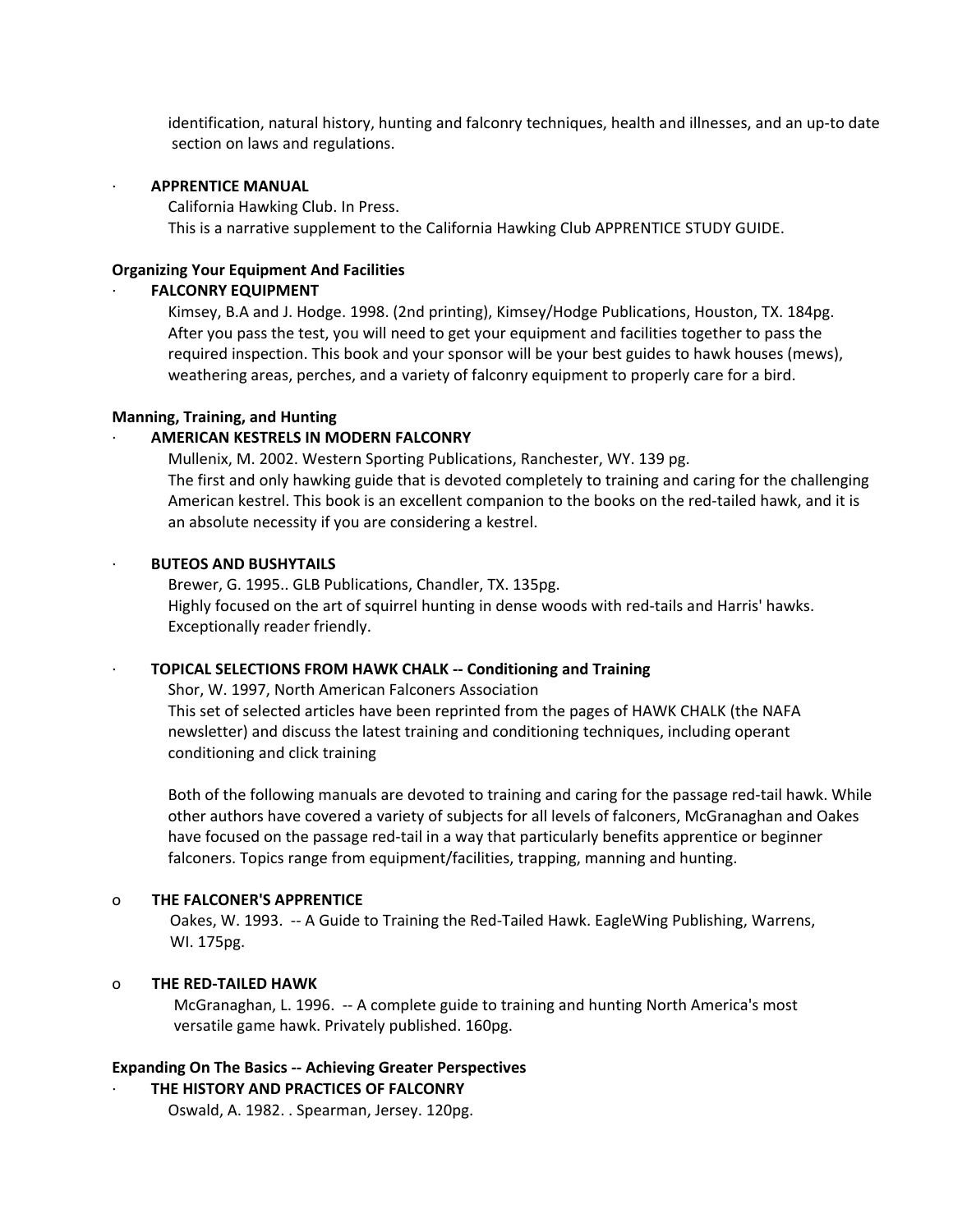identification, natural history, hunting and falconry techniques, health and illnesses, and an up‐to date section on laws and regulations.

#### ∙ **APPRENTICE MANUAL**

California Hawking Club. In Press. This is a narrative supplement to the California Hawking Club APPRENTICE STUDY GUIDE.

#### **Organizing Your Equipment And Facilities**

#### ∙ **FALCONRY EQUIPMENT**

Kimsey, B.A and J. Hodge. 1998. (2nd printing), Kimsey/Hodge Publications, Houston, TX. 184pg. After you pass the test, you will need to get your equipment and facilities together to pass the required inspection. This book and your sponsor will be your best guides to hawk houses (mews), weathering areas, perches, and a variety of falconry equipment to properly care for a bird.

#### **Manning, Training, and Hunting**

#### ∙ **AMERICAN KESTRELS IN MODERN FALCONRY**

Mullenix, M. 2002. Western Sporting Publications, Ranchester, WY. 139 pg. The first and only hawking guide that is devoted completely to training and caring for the challenging American kestrel. This book is an excellent companion to the books on the red‐tailed hawk, and it is an absolute necessity if you are considering a kestrel.

#### ∙ **BUTEOS AND BUSHYTAILS**

Brewer, G. 1995.. GLB Publications, Chandler, TX. 135pg. Highly focused on the art of squirrel hunting in dense woods with red‐tails and Harris' hawks. Exceptionally reader friendly.

#### ∙ **TOPICAL SELECTIONS FROM HAWK CHALK ‐‐ Conditioning and Training**

Shor, W. 1997, North American Falconers Association

This set of selected articles have been reprinted from the pages of HAWK CHALK (the NAFA newsletter) and discuss the latest training and conditioning techniques, including operant conditioning and click training

Both of the following manuals are devoted to training and caring for the passage red‐tail hawk. While other authors have covered a variety of subjects for all levels of falconers, McGranaghan and Oakes have focused on the passage red-tail in a way that particularly benefits apprentice or beginner falconers. Topics range from equipment/facilities, trapping, manning and hunting.

#### o **THE FALCONER'S APPRENTICE**

Oakes, W. 1993. -- A Guide to Training the Red-Tailed Hawk. EagleWing Publishing, Warrens, WI. 175pg.

#### o **THE RED‐TAILED HAWK**

 McGranaghan, L. 1996. ‐‐ A complete guide to training and hunting North America's most versatile game hawk. Privately published. 160pg.

#### **Expanding On The Basics ‐‐ Achieving Greater Perspectives**

∙ **THE HISTORY AND PRACTICES OF FALCONRY**

Oswald, A. 1982. . Spearman, Jersey. 120pg.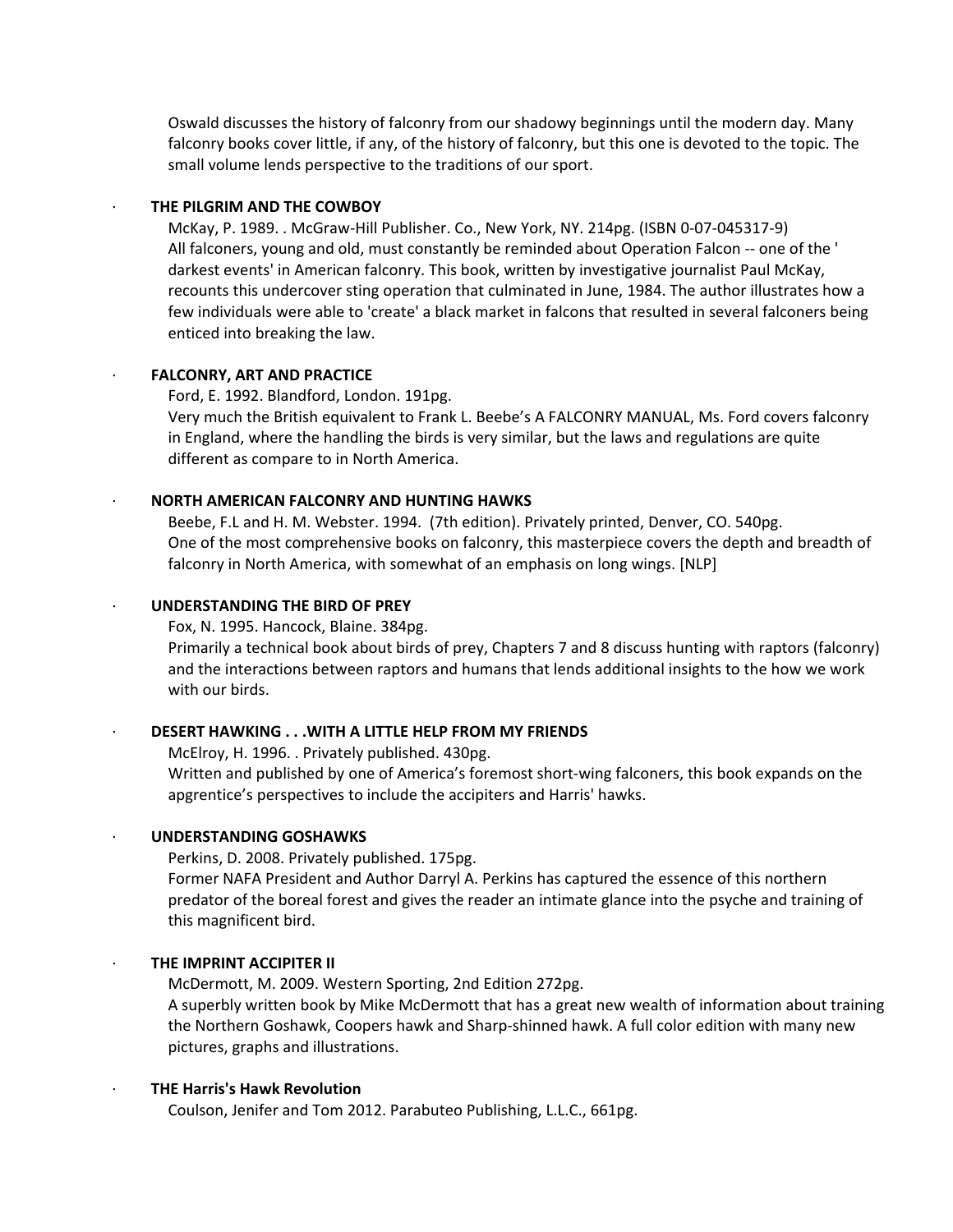Oswald discusses the history of falconry from our shadowy beginnings until the modern day. Many falconry books cover little, if any, of the history of falconry, but this one is devoted to the topic. The small volume lends perspective to the traditions of our sport.

#### ∙ **THE PILGRIM AND THE COWBOY**

McKay, P. 1989. . McGraw‐Hill Publisher. Co., New York, NY. 214pg. (ISBN 0‐07‐045317‐9) All falconers, young and old, must constantly be reminded about Operation Falcon ‐‐ one of the ' darkest events' in American falconry. This book, written by investigative journalist Paul McKay, recounts this undercover sting operation that culminated in June, 1984. The author illustrates how a few individuals were able to 'create' a black market in falcons that resulted in several falconers being enticed into breaking the law.

# ∙ **FALCONRY, ART AND PRACTICE**

Ford, E. 1992. Blandford, London. 191pg.

Very much the British equivalent to Frank L. Beebe's A FALCONRY MANUAL, Ms. Ford covers falconry in England, where the handling the birds is very similar, but the laws and regulations are quite different as compare to in North America.

# ∙ **NORTH AMERICAN FALCONRY AND HUNTING HAWKS**

Beebe, F.L and H. M. Webster. 1994. (7th edition). Privately printed, Denver, CO. 540pg. One of the most comprehensive books on falconry, this masterpiece covers the depth and breadth of falconry in North America, with somewhat of an emphasis on long wings. [NLP]

# ∙ **UNDERSTANDING THE BIRD OF PREY**

Fox, N. 1995. Hancock, Blaine. 384pg.

Primarily a technical book about birds of prey, Chapters 7 and 8 discuss hunting with raptors (falconry) and the interactions between raptors and humans that lends additional insights to the how we work with our birds.

# ∙ **DESERT HAWKING . . .WITH A LITTLE HELP FROM MY FRIENDS**

McElroy, H. 1996. . Privately published. 430pg.

Written and published by one of America's foremost short-wing falconers, this book expands on the apgrentice's perspectives to include the accipiters and Harris' hawks.

# ∙ **UNDERSTANDING GOSHAWKS**

Perkins, D. 2008. Privately published. 175pg.

Former NAFA President and Author Darryl A. Perkins has captured the essence of this northern predator of the boreal forest and gives the reader an intimate glance into the psyche and training of this magnificent bird.

# ∙ **THE IMPRINT ACCIPITER II**

McDermott, M. 2009. Western Sporting, 2nd Edition 272pg.

A superbly written book by Mike McDermott that has a great new wealth of information about training the Northern Goshawk, Coopers hawk and Sharp‐shinned hawk. A full color edition with many new pictures, graphs and illustrations.

# ∙ **THE Harris's Hawk Revolution**

Coulson, Jenifer and Tom 2012. Parabuteo Publishing, L.L.C., 661pg.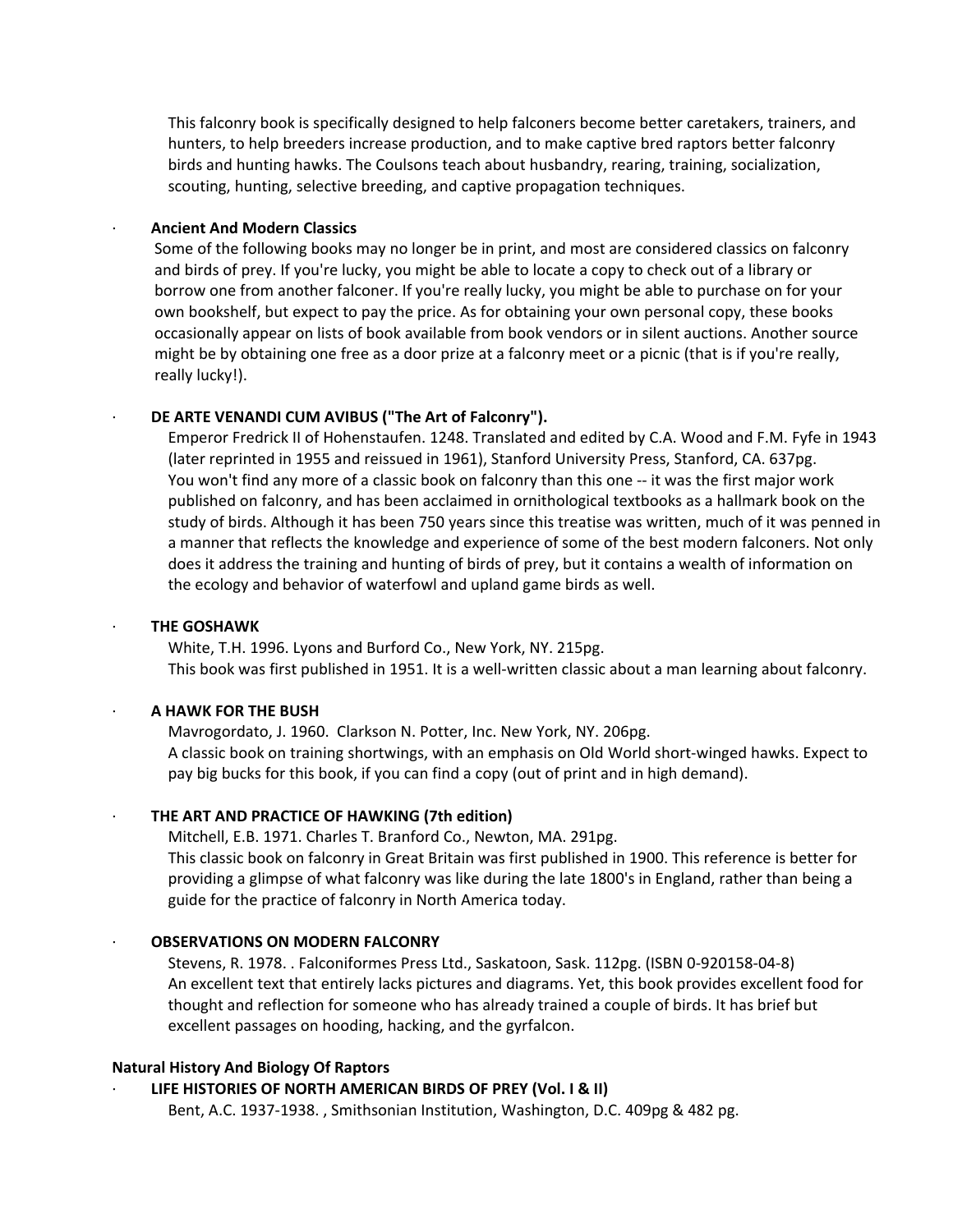This falconry book is specifically designed to help falconers become better caretakers, trainers, and hunters, to help breeders increase production, and to make captive bred raptors better falconry birds and hunting hawks. The Coulsons teach about husbandry, rearing, training, socialization, scouting, hunting, selective breeding, and captive propagation techniques.

#### ∙ **Ancient And Modern Classics**

 Some of the following books may no longer be in print, and most are considered classics on falconry and birds of prey. If you're lucky, you might be able to locate a copy to check out of a library or borrow one from another falconer. If you're really lucky, you might be able to purchase on for your own bookshelf, but expect to pay the price. As for obtaining your own personal copy, these books occasionally appear on lists of book available from book vendors or in silent auctions. Another source might be by obtaining one free as a door prize at a falconry meet or a picnic (that is if you're really, really lucky!).

#### ∙ **DE ARTE VENANDI CUM AVIBUS ("The Art of Falconry").**

Emperor Fredrick II of Hohenstaufen. 1248. Translated and edited by C.A. Wood and F.M. Fyfe in 1943 (later reprinted in 1955 and reissued in 1961), Stanford University Press, Stanford, CA. 637pg. You won't find any more of a classic book on falconry than this one -- it was the first major work published on falconry, and has been acclaimed in ornithological textbooks as a hallmark book on the study of birds. Although it has been 750 years since this treatise was written, much of it was penned in a manner that reflects the knowledge and experience of some of the best modern falconers. Not only does it address the training and hunting of birds of prey, but it contains a wealth of information on the ecology and behavior of waterfowl and upland game birds as well.

#### ∙ **THE GOSHAWK**

White, T.H. 1996. Lyons and Burford Co., New York, NY. 215pg. This book was first published in 1951. It is a well-written classic about a man learning about falconry.

# ∙ **A HAWK FOR THE BUSH**

Mavrogordato, J. 1960. Clarkson N. Potter, Inc. New York, NY. 206pg. A classic book on training shortwings, with an emphasis on Old World short‐winged hawks. Expect to pay big bucks for this book, if you can find a copy (out of print and in high demand).

# ∙ **THE ART AND PRACTICE OF HAWKING (7th edition)**

Mitchell, E.B. 1971. Charles T. Branford Co., Newton, MA. 291pg.

This classic book on falconry in Great Britain was first published in 1900. This reference is better for providing a glimpse of what falconry was like during the late 1800's in England, rather than being a guide for the practice of falconry in North America today.

#### ∙ **OBSERVATIONS ON MODERN FALCONRY**

Stevens, R. 1978. . Falconiformes Press Ltd., Saskatoon, Sask. 112pg. (ISBN 0‐920158‐04‐8) An excellent text that entirely lacks pictures and diagrams. Yet, this book provides excellent food for thought and reflection for someone who has already trained a couple of birds. It has brief but excellent passages on hooding, hacking, and the gyrfalcon.

#### **Natural History And Biology Of Raptors**

# ∙ **LIFE HISTORIES OF NORTH AMERICAN BIRDS OF PREY (Vol. I & II)**

Bent, A.C. 1937‐1938. , Smithsonian Institution, Washington, D.C. 409pg & 482 pg.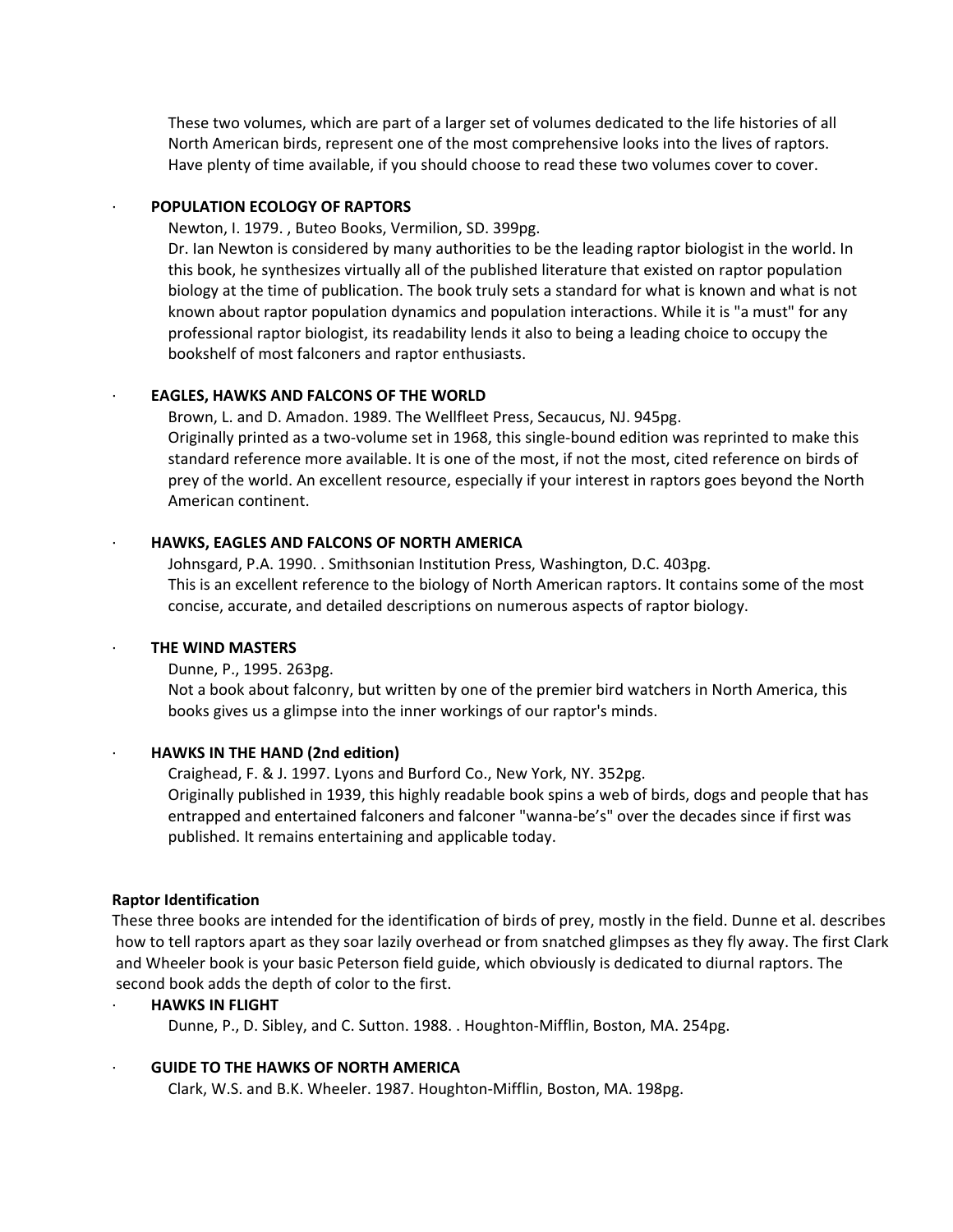These two volumes, which are part of a larger set of volumes dedicated to the life histories of all North American birds, represent one of the most comprehensive looks into the lives of raptors. Have plenty of time available, if you should choose to read these two volumes cover to cover.

#### ∙ **POPULATION ECOLOGY OF RAPTORS**

Newton, I. 1979. , Buteo Books, Vermilion, SD. 399pg.

Dr. Ian Newton is considered by many authorities to be the leading raptor biologist in the world. In this book, he synthesizes virtually all of the published literature that existed on raptor population biology at the time of publication. The book truly sets a standard for what is known and what is not known about raptor population dynamics and population interactions. While it is "a must" for any professional raptor biologist, its readability lends it also to being a leading choice to occupy the bookshelf of most falconers and raptor enthusiasts.

#### ∙ **EAGLES, HAWKS AND FALCONS OF THE WORLD**

Brown, L. and D. Amadon. 1989. The Wellfleet Press, Secaucus, NJ. 945pg. Originally printed as a two‐volume set in 1968, this single‐bound edition was reprinted to make this standard reference more available. It is one of the most, if not the most, cited reference on birds of prey of the world. An excellent resource, especially if your interest in raptors goes beyond the North American continent.

#### ∙ **HAWKS, EAGLES AND FALCONS OF NORTH AMERICA**

Johnsgard, P.A. 1990. . Smithsonian Institution Press, Washington, D.C. 403pg. This is an excellent reference to the biology of North American raptors. It contains some of the most concise, accurate, and detailed descriptions on numerous aspects of raptor biology.

#### ∙ **THE WIND MASTERS**

Dunne, P., 1995. 263pg.

Not a book about falconry, but written by one of the premier bird watchers in North America, this books gives us a glimpse into the inner workings of our raptor's minds.

# ∙ **HAWKS IN THE HAND (2nd edition)**

Craighead, F. & J. 1997. Lyons and Burford Co., New York, NY. 352pg. Originally published in 1939, this highly readable book spins a web of birds, dogs and people that has entrapped and entertained falconers and falconer "wanna‐be's" over the decades since if first was published. It remains entertaining and applicable today.

#### **Raptor Identification**

These three books are intended for the identification of birds of prey, mostly in the field. Dunne et al. describes how to tell raptors apart as they soar lazily overhead or from snatched glimpses as they fly away. The first Clark and Wheeler book is your basic Peterson field guide, which obviously is dedicated to diurnal raptors. The second book adds the depth of color to the first.

#### ∙ **HAWKS IN FLIGHT**

Dunne, P., D. Sibley, and C. Sutton. 1988. . Houghton‐Mifflin, Boston, MA. 254pg.

#### ∙ **GUIDE TO THE HAWKS OF NORTH AMERICA**

Clark, W.S. and B.K. Wheeler. 1987. Houghton‐Mifflin, Boston, MA. 198pg.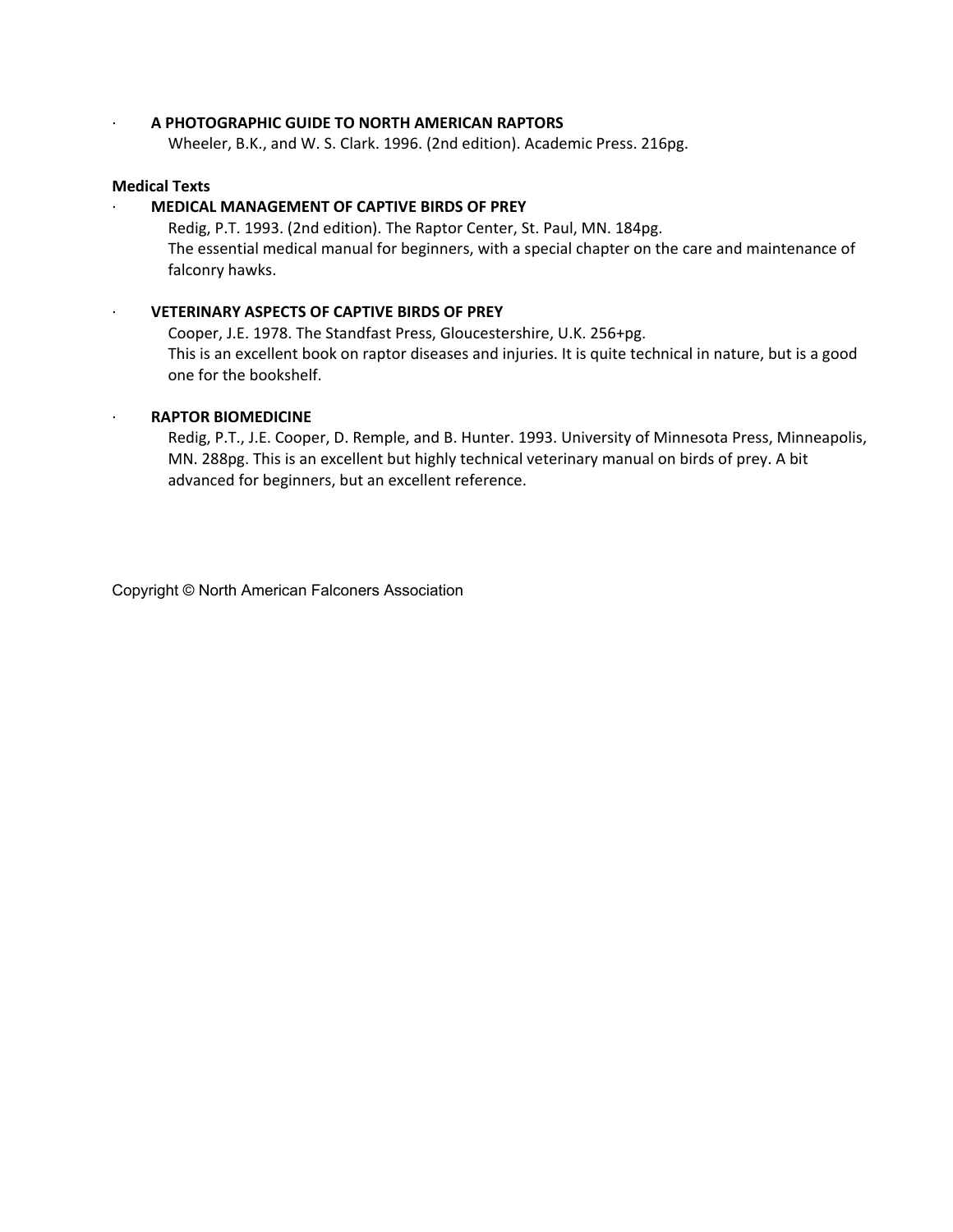### ∙ **A PHOTOGRAPHIC GUIDE TO NORTH AMERICAN RAPTORS**

Wheeler, B.K., and W. S. Clark. 1996. (2nd edition). Academic Press. 216pg.

#### **Medical Texts**

### ∙ **MEDICAL MANAGEMENT OF CAPTIVE BIRDS OF PREY**

Redig, P.T. 1993. (2nd edition). The Raptor Center, St. Paul, MN. 184pg. The essential medical manual for beginners, with a special chapter on the care and maintenance of falconry hawks.

# ∙ **VETERINARY ASPECTS OF CAPTIVE BIRDS OF PREY**

Cooper, J.E. 1978. The Standfast Press, Gloucestershire, U.K. 256+pg. This is an excellent book on raptor diseases and injuries. It is quite technical in nature, but is a good one for the bookshelf.

#### ∙ **RAPTOR BIOMEDICINE**

Redig, P.T., J.E. Cooper, D. Remple, and B. Hunter. 1993. University of Minnesota Press, Minneapolis, MN. 288pg. This is an excellent but highly technical veterinary manual on birds of prey. A bit advanced for beginners, but an excellent reference.

Copyright © North American Falconers Association